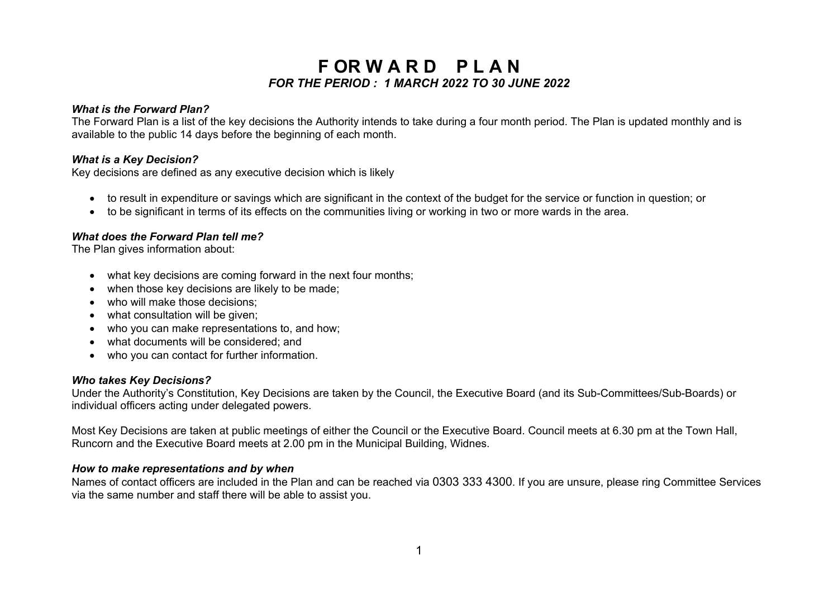## **F OR W A R D P L A N** *FOR THE PERIOD : 1 MARCH 2022 TO 30 JUNE 2022*

### *What is the Forward Plan?*

The Forward Plan is a list of the key decisions the Authority intends to take during a four month period. The Plan is updated monthly and is available to the public 14 days before the beginning of each month.

### *What is a Key Decision?*

Key decisions are defined as any executive decision which is likely

- to result in expenditure or savings which are significant in the context of the budget for the service or function in question; or
- to be significant in terms of its effects on the communities living or working in two or more wards in the area.

### *What does the Forward Plan tell me?*

The Plan gives information about:

- what key decisions are coming forward in the next four months;
- when those key decisions are likely to be made;
- who will make those decisions;
- what consultation will be given:
- who you can make representations to, and how:
- what documents will be considered; and
- who you can contact for further information.

#### *Who takes Key Decisions?*

Under the Authority's Constitution, Key Decisions are taken by the Council, the Executive Board (and its Sub-Committees/Sub-Boards) or individual officers acting under delegated powers.

Most Key Decisions are taken at public meetings of either the Council or the Executive Board. Council meets at 6.30 pm at the Town Hall, Runcorn and the Executive Board meets at 2.00 pm in the Municipal Building, Widnes.

#### *How to make representations and by when*

Names of contact officers are included in the Plan and can be reached via 0303 333 4300. If you are unsure, please ring Committee Services via the same number and staff there will be able to assist you.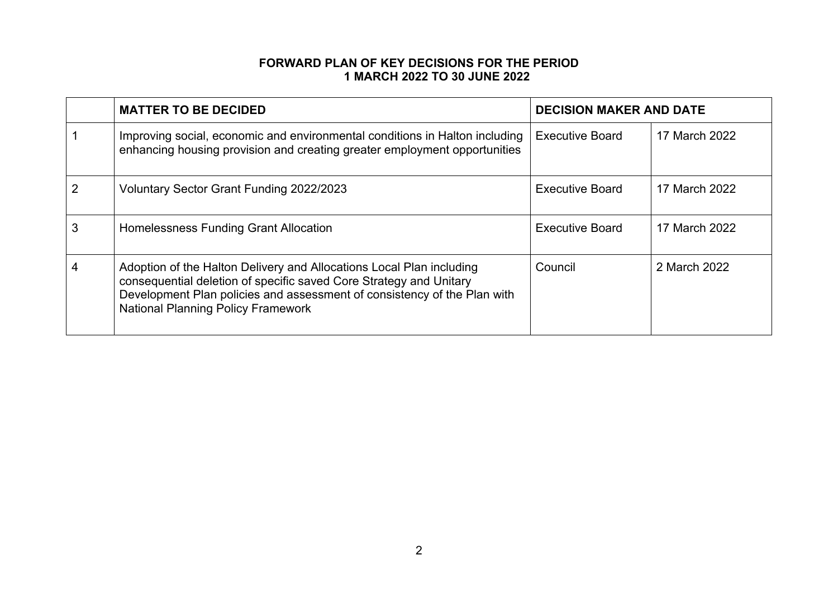### **FORWARD PLAN OF KEY DECISIONS FOR THE PERIOD 1 MARCH 2022 TO 30 JUNE 2022**

|   | <b>MATTER TO BE DECIDED</b>                                                                                                                                                                                                                                         | <b>DECISION MAKER AND DATE</b> |               |  |
|---|---------------------------------------------------------------------------------------------------------------------------------------------------------------------------------------------------------------------------------------------------------------------|--------------------------------|---------------|--|
|   | Improving social, economic and environmental conditions in Halton including<br>enhancing housing provision and creating greater employment opportunities                                                                                                            | <b>Executive Board</b>         | 17 March 2022 |  |
|   | Voluntary Sector Grant Funding 2022/2023                                                                                                                                                                                                                            | <b>Executive Board</b>         | 17 March 2022 |  |
| 3 | Homelessness Funding Grant Allocation                                                                                                                                                                                                                               | <b>Executive Board</b>         | 17 March 2022 |  |
|   | Adoption of the Halton Delivery and Allocations Local Plan including<br>consequential deletion of specific saved Core Strategy and Unitary<br>Development Plan policies and assessment of consistency of the Plan with<br><b>National Planning Policy Framework</b> | Council                        | 2 March 2022  |  |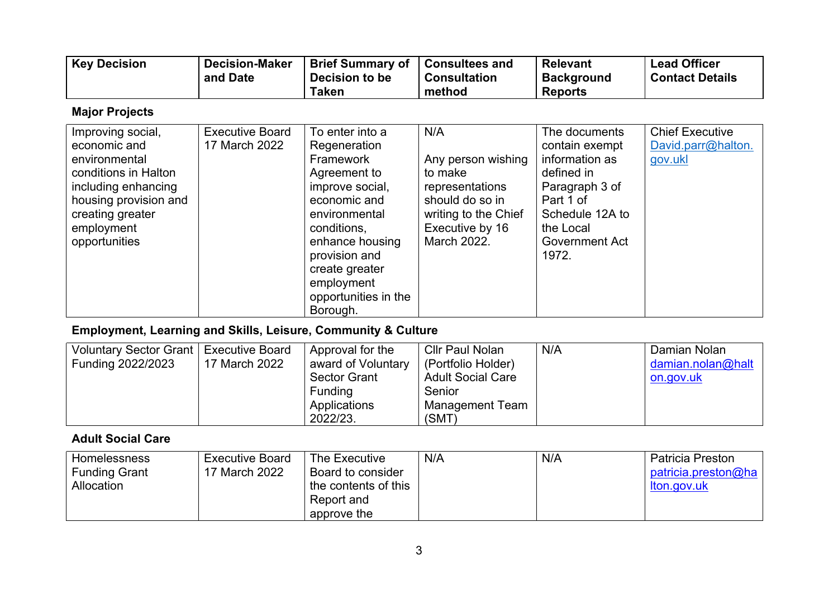| <b>Key Decision</b> | <b>Decision-Maker</b> | <b>Brief Summary of</b> | <b>Consultees and</b> | <b>Relevant</b>   | <b>Lead Officer</b>    |
|---------------------|-----------------------|-------------------------|-----------------------|-------------------|------------------------|
|                     | and Date              | Decision to be          | <b>Consultation</b>   | <b>Background</b> | <b>Contact Details</b> |
|                     |                       | <b>Taken</b>            | method                | <b>Reports</b>    |                        |

# **Major Projects**

| Improving social,<br>economic and<br>environmental<br>conditions in Halton<br>including enhancing<br>housing provision and<br>creating greater<br>employment<br>opportunities | <b>Executive Board</b><br>17 March 2022 | To enter into a<br>Regeneration<br>Framework<br>Agreement to<br>improve social,<br>economic and<br>environmental<br>conditions,<br>enhance housing<br>provision and<br>create greater<br>employment<br>opportunities in the | N/A<br>Any person wishing<br>to make<br>representations<br>should do so in<br>writing to the Chief<br>Executive by 16<br>March 2022. | The documents<br>contain exempt<br>information as<br>defined in<br>Paragraph 3 of<br>Part 1 of<br>Schedule 12A to<br>the Local<br>Government Act<br>1972. | <b>Chief Executive</b><br>David.parr@halton.<br>gov.ukl |
|-------------------------------------------------------------------------------------------------------------------------------------------------------------------------------|-----------------------------------------|-----------------------------------------------------------------------------------------------------------------------------------------------------------------------------------------------------------------------------|--------------------------------------------------------------------------------------------------------------------------------------|-----------------------------------------------------------------------------------------------------------------------------------------------------------|---------------------------------------------------------|
|                                                                                                                                                                               |                                         | Borough.                                                                                                                                                                                                                    |                                                                                                                                      |                                                                                                                                                           |                                                         |

# **Employment, Learning and Skills, Leisure, Community & Culture**

| <b>Voluntary Sector Grant</b> | <b>Executive Board</b> | Approval for the    | Cllr Paul Nolan          | N/A | Damian Nolan         |
|-------------------------------|------------------------|---------------------|--------------------------|-----|----------------------|
| Funding 2022/2023             | 17 March 2022          | award of Voluntary  | (Portfolio Holder)       |     | $d$ amian.nolan@halt |
|                               |                        | <b>Sector Grant</b> | <b>Adult Social Care</b> |     | on.gov.uk            |
|                               |                        | Funding             | Senior                   |     |                      |
|                               |                        | Applications        | Management Team          |     |                      |
|                               |                        | 2022/23.            | (SMT)                    |     |                      |

## **Adult Social Care**

| Homelessness<br><b>Funding Grant</b><br>Allocation | <b>Executive Board</b><br>17 March 2022 | The Executive<br>Board to consider<br>the contents of this<br>Report and | N/A | N/A | <b>Patricia Preston</b><br>patricia.preston@ha<br>lton.gov.uk |
|----------------------------------------------------|-----------------------------------------|--------------------------------------------------------------------------|-----|-----|---------------------------------------------------------------|
|                                                    |                                         | approve the                                                              |     |     |                                                               |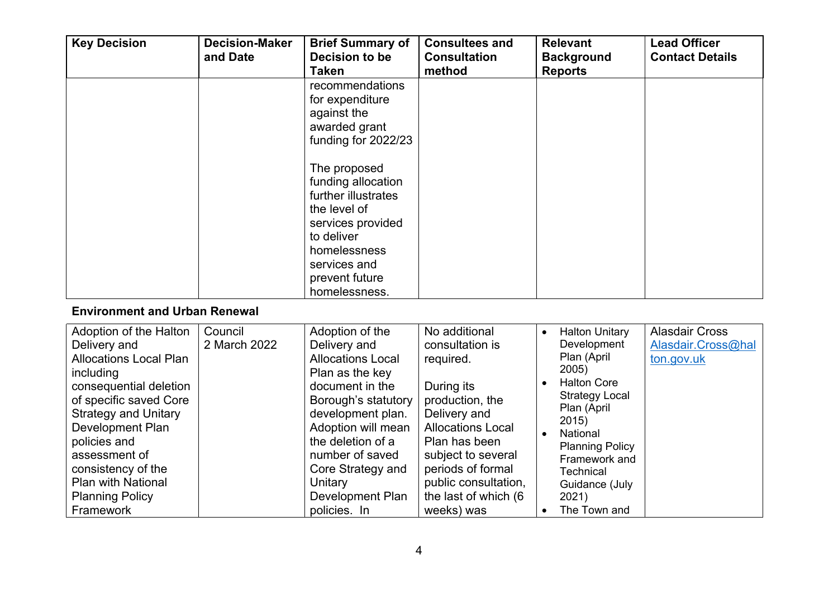| <b>Key Decision</b> | <b>Decision-Maker</b><br>and Date | <b>Brief Summary of</b><br>Decision to be<br>Taken                                                                                                                              | <b>Consultees and</b><br><b>Consultation</b><br>method | <b>Relevant</b><br><b>Background</b><br><b>Reports</b> | <b>Lead Officer</b><br><b>Contact Details</b> |
|---------------------|-----------------------------------|---------------------------------------------------------------------------------------------------------------------------------------------------------------------------------|--------------------------------------------------------|--------------------------------------------------------|-----------------------------------------------|
|                     |                                   | recommendations<br>for expenditure<br>against the<br>awarded grant<br>funding for 2022/23                                                                                       |                                                        |                                                        |                                               |
|                     |                                   | The proposed<br>funding allocation<br>further illustrates<br>the level of<br>services provided<br>to deliver<br>homelessness<br>services and<br>prevent future<br>homelessness. |                                                        |                                                        |                                               |

## **Environment and Urban Renewal**

| Adoption of the Halton        | Council      | Adoption of the          | No additional            | $\bullet$ | <b>Halton Unitary</b>  | <b>Alasdair Cross</b> |
|-------------------------------|--------------|--------------------------|--------------------------|-----------|------------------------|-----------------------|
| Delivery and                  | 2 March 2022 | Delivery and             | consultation is          |           | Development            | Alasdair.Cross@hal    |
| <b>Allocations Local Plan</b> |              | <b>Allocations Local</b> | required.                |           | Plan (April            | ton.gov.uk            |
| including                     |              | Plan as the key          |                          |           | 2005)                  |                       |
| consequential deletion        |              | document in the          | During its               |           | <b>Halton Core</b>     |                       |
| of specific saved Core        |              | Borough's statutory      | production, the          |           | <b>Strategy Local</b>  |                       |
| <b>Strategy and Unitary</b>   |              | development plan.        | Delivery and             |           | Plan (April            |                       |
| Development Plan              |              | Adoption will mean       | <b>Allocations Local</b> |           | 2015)<br>National      |                       |
| policies and                  |              | the deletion of a        | Plan has been            |           | <b>Planning Policy</b> |                       |
| assessment of                 |              | number of saved          | subject to several       |           | Framework and          |                       |
| consistency of the            |              | Core Strategy and        | periods of formal        |           | <b>Technical</b>       |                       |
| <b>Plan with National</b>     |              | Unitary                  | public consultation.     |           | Guidance (July         |                       |
| <b>Planning Policy</b>        |              | Development Plan         | the last of which (6     |           | 2021)                  |                       |
| Framework                     |              | policies. In             | weeks) was               |           | The Town and           |                       |